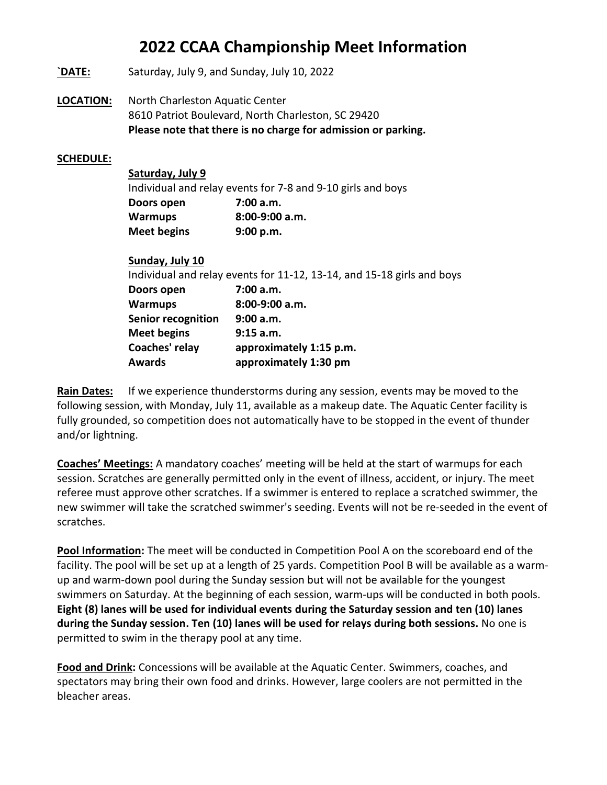- **`DATE:** Saturday, July 9, and Sunday, July 10, 2022
- **LOCATION:** North Charleston Aquatic Center 8610 Patriot Boulevard, North Charleston, SC 29420 **Please note that there is no charge for admission or parking.**

#### **SCHEDULE:**

| Saturday, July 9   |                                                             |
|--------------------|-------------------------------------------------------------|
|                    | Individual and relay events for 7-8 and 9-10 girls and boys |
| Doors open         | 7:00a.m.                                                    |
| <b>Warmups</b>     | $8:00-9:00$ a.m.                                            |
| <b>Meet begins</b> | 9:00 p.m.                                                   |

| Sunday, July 10           |                                                                        |
|---------------------------|------------------------------------------------------------------------|
|                           | Individual and relay events for 11-12, 13-14, and 15-18 girls and boys |
| Doors open                | 7:00 a.m.                                                              |
| <b>Warmups</b>            | 8:00-9:00 a.m.                                                         |
| <b>Senior recognition</b> | 9:00 a.m.                                                              |
| <b>Meet begins</b>        | 9:15 a.m.                                                              |
| Coaches' relay            | approximately 1:15 p.m.                                                |
| Awards                    | approximately 1:30 pm                                                  |
|                           |                                                                        |

**Rain Dates:** If we experience thunderstorms during any session, events may be moved to the following session, with Monday, July 11, available as a makeup date. The Aquatic Center facility is fully grounded, so competition does not automatically have to be stopped in the event of thunder and/or lightning.

**Coaches' Meetings:** A mandatory coaches' meeting will be held at the start of warmups for each session. Scratches are generally permitted only in the event of illness, accident, or injury. The meet referee must approve other scratches. If a swimmer is entered to replace a scratched swimmer, the new swimmer will take the scratched swimmer's seeding. Events will not be re-seeded in the event of scratches.

**Pool Information:** The meet will be conducted in Competition Pool A on the scoreboard end of the facility. The pool will be set up at a length of 25 yards. Competition Pool B will be available as a warmup and warm-down pool during the Sunday session but will not be available for the youngest swimmers on Saturday. At the beginning of each session, warm-ups will be conducted in both pools. **Eight (8) lanes will be used for individual events during the Saturday session and ten (10) lanes during the Sunday session. Ten (10) lanes will be used for relays during both sessions.** No one is permitted to swim in the therapy pool at any time.

**Food and Drink:** Concessions will be available at the Aquatic Center. Swimmers, coaches, and spectators may bring their own food and drinks. However, large coolers are not permitted in the bleacher areas.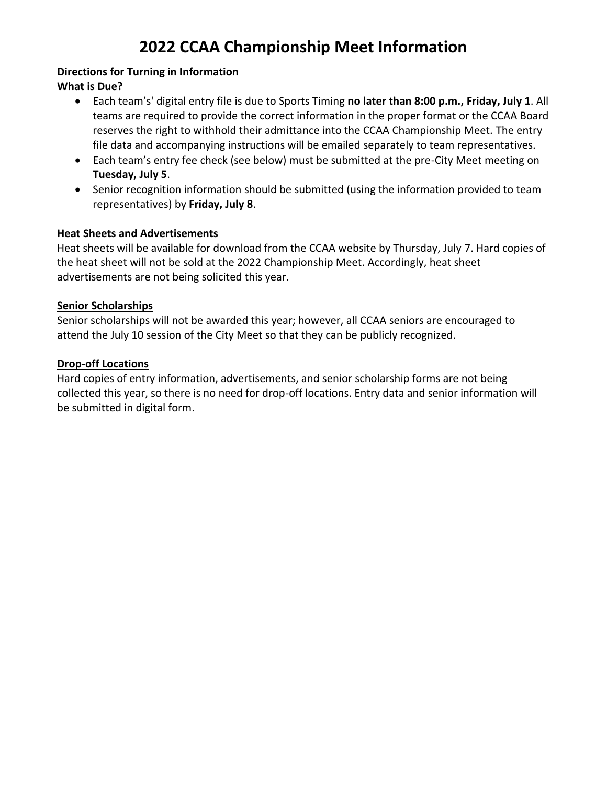#### **Directions for Turning in Information What is Due?**

- Each team's' digital entry file is due to Sports Timing **no later than 8:00 p.m., Friday, July 1**. All teams are required to provide the correct information in the proper format or the CCAA Board reserves the right to withhold their admittance into the CCAA Championship Meet. The entry file data and accompanying instructions will be emailed separately to team representatives.
- Each team's entry fee check (see below) must be submitted at the pre-City Meet meeting on **Tuesday, July 5**.
- Senior recognition information should be submitted (using the information provided to team representatives) by **Friday, July 8**.

### **Heat Sheets and Advertisements**

Heat sheets will be available for download from the CCAA website by Thursday, July 7. Hard copies of the heat sheet will not be sold at the 2022 Championship Meet. Accordingly, heat sheet advertisements are not being solicited this year.

### **Senior Scholarships**

Senior scholarships will not be awarded this year; however, all CCAA seniors are encouraged to attend the July 10 session of the City Meet so that they can be publicly recognized.

### **Drop-off Locations**

Hard copies of entry information, advertisements, and senior scholarship forms are not being collected this year, so there is no need for drop-off locations. Entry data and senior information will be submitted in digital form.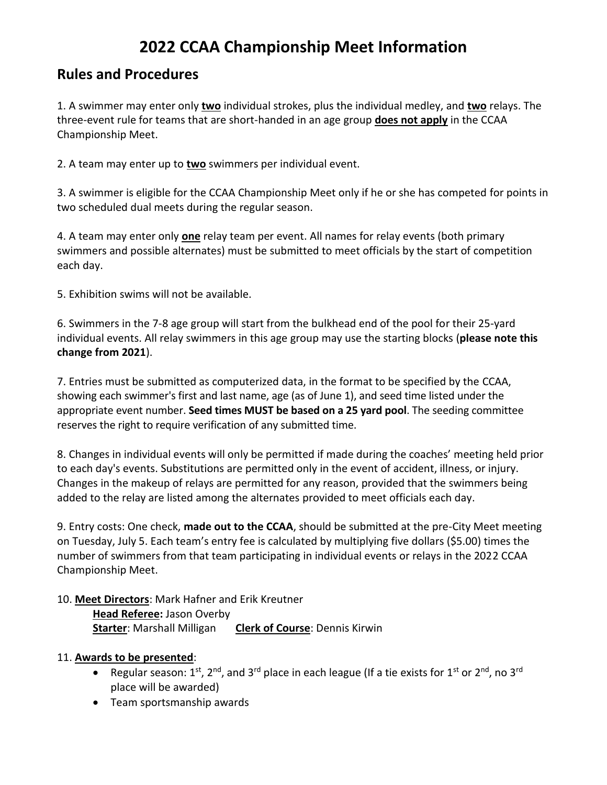### **Rules and Procedures**

1. A swimmer may enter only **two** individual strokes, plus the individual medley, and **two** relays. The three-event rule for teams that are short-handed in an age group **does not apply** in the CCAA Championship Meet.

2. A team may enter up to **two** swimmers per individual event.

3. A swimmer is eligible for the CCAA Championship Meet only if he or she has competed for points in two scheduled dual meets during the regular season.

4. A team may enter only **one** relay team per event. All names for relay events (both primary swimmers and possible alternates) must be submitted to meet officials by the start of competition each day.

5. Exhibition swims will not be available.

6. Swimmers in the 7-8 age group will start from the bulkhead end of the pool for their 25-yard individual events. All relay swimmers in this age group may use the starting blocks (**please note this change from 2021**).

7. Entries must be submitted as computerized data, in the format to be specified by the CCAA, showing each swimmer's first and last name, age (as of June 1), and seed time listed under the appropriate event number. **Seed times MUST be based on a 25 yard pool**. The seeding committee reserves the right to require verification of any submitted time.

8. Changes in individual events will only be permitted if made during the coaches' meeting held prior to each day's events. Substitutions are permitted only in the event of accident, illness, or injury. Changes in the makeup of relays are permitted for any reason, provided that the swimmers being added to the relay are listed among the alternates provided to meet officials each day.

9. Entry costs: One check, **made out to the CCAA**, should be submitted at the pre-City Meet meeting on Tuesday, July 5. Each team's entry fee is calculated by multiplying five dollars (\$5.00) times the number of swimmers from that team participating in individual events or relays in the 2022 CCAA Championship Meet.

### 10. **Meet Directors**: Mark Hafner and Erik Kreutner

**Head Referee:** Jason Overby **Starter**: Marshall Milligan **Clerk of Course**: Dennis Kirwin

### 11. **Awards to be presented**:

- Regular season:  $1^{st}$ ,  $2^{nd}$ , and  $3^{rd}$  place in each league (If a tie exists for  $1^{st}$  or  $2^{nd}$ , no  $3^{rd}$ place will be awarded)
- Team sportsmanship awards